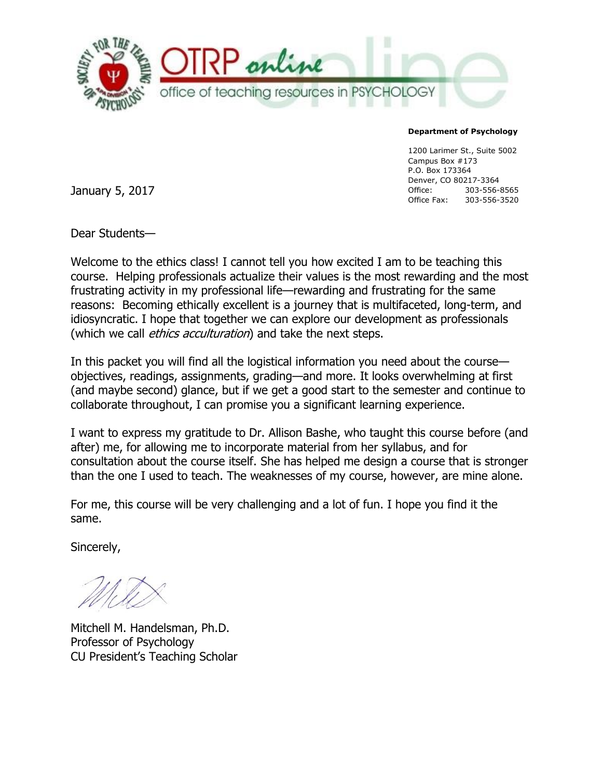

#### **Department of Psychology**

1200 Larimer St., Suite 5002 Campus Box #173 P.O. Box 173364 Denver, CO 80217-3364 Office: 303-556-8565 Office Fax: 303-556-3520

January 5, 2017

Dear Students—

Welcome to the ethics class! I cannot tell you how excited I am to be teaching this course. Helping professionals actualize their values is the most rewarding and the most frustrating activity in my professional life—rewarding and frustrating for the same reasons: Becoming ethically excellent is a journey that is multifaceted, long-term, and idiosyncratic. I hope that together we can explore our development as professionals (which we call *ethics acculturation*) and take the next steps.

In this packet you will find all the logistical information you need about the course objectives, readings, assignments, grading—and more. It looks overwhelming at first (and maybe second) glance, but if we get a good start to the semester and continue to collaborate throughout, I can promise you a significant learning experience.

I want to express my gratitude to Dr. Allison Bashe, who taught this course before (and after) me, for allowing me to incorporate material from her syllabus, and for consultation about the course itself. She has helped me design a course that is stronger than the one I used to teach. The weaknesses of my course, however, are mine alone.

For me, this course will be very challenging and a lot of fun. I hope you find it the same.

Sincerely,

Mitchell M. Handelsman, Ph.D. Professor of Psychology CU President's Teaching Scholar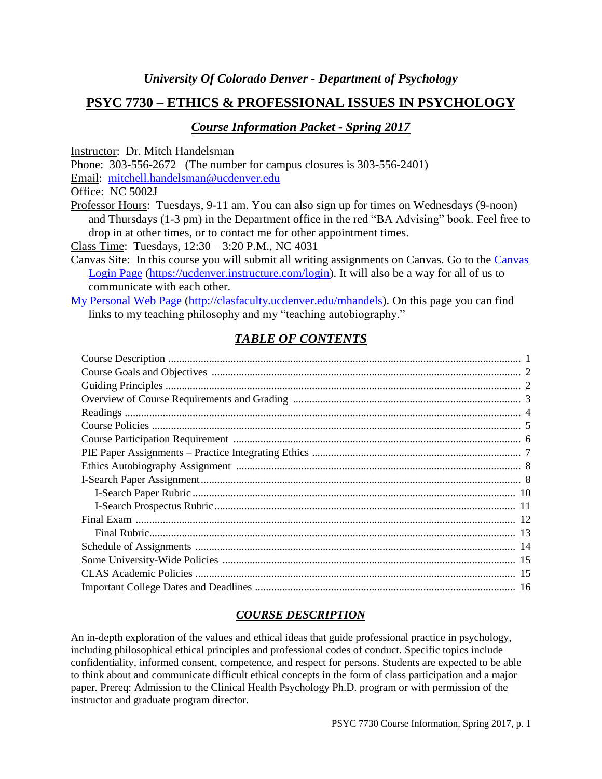# **PSYC 7730 – ETHICS & PROFESSIONAL ISSUES IN PSYCHOLOGY**

### *Course Information Packet - Spring 2017*

Instructor: Dr. Mitch Handelsman

Phone: 303-556-2672 (The number for campus closures is 303-556-2401)

Email: [mitchell.handelsman@ucdenver.edu](mailto:mitchell.handelsman@ucdenver.edu)

Office: NC 5002J

Professor Hours: Tuesdays, 9-11 am. You can also sign up for times on Wednesdays (9-noon) and Thursdays (1-3 pm) in the Department office in the red "BA Advising" book. Feel free to drop in at other times, or to contact me for other appointment times.

Class Time: Tuesdays, 12:30 – 3:20 P.M., NC 4031

Canvas Site: In this course you will submit all writing assignments on Canvas. Go to the [Canvas](https://ucdenver.instructure.com/login)  [Login Page](https://ucdenver.instructure.com/login) [\(https://ucdenver.instructure.com/login\)](https://ucdenver.instructure.com/login). It will also be a way for all of us to communicate with each other.

[My Personal Web Page](http://clasfaculty.ucdenver.edu/mhandels) [\(http://clasfaculty.ucdenver.edu/mhandels\)](http://clasfaculty.ucdenver.edu/mhandels). On this page you can find links to my teaching philosophy and my "teaching autobiography."

# *TABLE OF CONTENTS*

## *COURSE DESCRIPTION*

An in-depth exploration of the values and ethical ideas that guide professional practice in psychology, including philosophical ethical principles and professional codes of conduct. Specific topics include confidentiality, informed consent, competence, and respect for persons. Students are expected to be able to think about and communicate difficult ethical concepts in the form of class participation and a major paper. Prereq: Admission to the Clinical Health Psychology Ph.D. program or with permission of the instructor and graduate program director.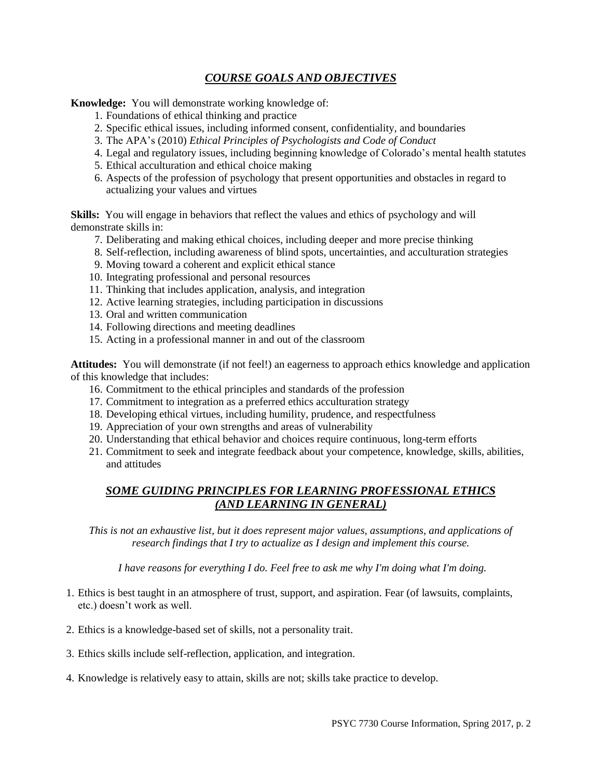## *COURSE GOALS AND OBJECTIVES*

**Knowledge:** You will demonstrate working knowledge of:

- 1. Foundations of ethical thinking and practice
- 2. Specific ethical issues, including informed consent, confidentiality, and boundaries
- 3. The APA's (2010) *Ethical Principles of Psychologists and Code of Conduct*
- 4. Legal and regulatory issues, including beginning knowledge of Colorado's mental health statutes
- 5. Ethical acculturation and ethical choice making
- 6. Aspects of the profession of psychology that present opportunities and obstacles in regard to actualizing your values and virtues

**Skills:** You will engage in behaviors that reflect the values and ethics of psychology and will demonstrate skills in:

- 7. Deliberating and making ethical choices, including deeper and more precise thinking
- 8. Self-reflection, including awareness of blind spots, uncertainties, and acculturation strategies
- 9. Moving toward a coherent and explicit ethical stance
- 10. Integrating professional and personal resources
- 11. Thinking that includes application, analysis, and integration
- 12. Active learning strategies, including participation in discussions
- 13. Oral and written communication
- 14. Following directions and meeting deadlines
- 15. Acting in a professional manner in and out of the classroom

**Attitudes:** You will demonstrate (if not feel!) an eagerness to approach ethics knowledge and application of this knowledge that includes:

- 16. Commitment to the ethical principles and standards of the profession
- 17. Commitment to integration as a preferred ethics acculturation strategy
- 18. Developing ethical virtues, including humility, prudence, and respectfulness
- 19. Appreciation of your own strengths and areas of vulnerability
- 20. Understanding that ethical behavior and choices require continuous, long-term efforts
- 21. Commitment to seek and integrate feedback about your competence, knowledge, skills, abilities, and attitudes

## *SOME GUIDING PRINCIPLES FOR LEARNING PROFESSIONAL ETHICS (AND LEARNING IN GENERAL)*

*This is not an exhaustive list, but it does represent major values, assumptions, and applications of research findings that I try to actualize as I design and implement this course.*

*I have reasons for everything I do. Feel free to ask me why I'm doing what I'm doing.*

- 1. Ethics is best taught in an atmosphere of trust, support, and aspiration. Fear (of lawsuits, complaints, etc.) doesn't work as well.
- 2. Ethics is a knowledge-based set of skills, not a personality trait.
- 3. Ethics skills include self-reflection, application, and integration.
- 4. Knowledge is relatively easy to attain, skills are not; skills take practice to develop.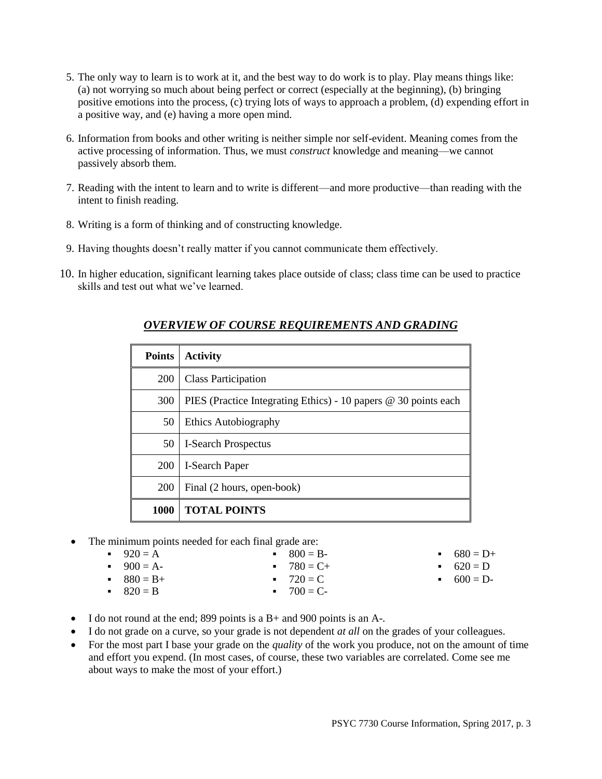- 5. The only way to learn is to work at it, and the best way to do work is to play. Play means things like: (a) not worrying so much about being perfect or correct (especially at the beginning), (b) bringing positive emotions into the process, (c) trying lots of ways to approach a problem, (d) expending effort in a positive way, and (e) having a more open mind.
- 6. Information from books and other writing is neither simple nor self-evident. Meaning comes from the active processing of information. Thus, we must *construct* knowledge and meaning—we cannot passively absorb them.
- 7. Reading with the intent to learn and to write is different—and more productive—than reading with the intent to finish reading.
- 8. Writing is a form of thinking and of constructing knowledge.
- 9. Having thoughts doesn't really matter if you cannot communicate them effectively.
- 10. In higher education, significant learning takes place outside of class; class time can be used to practice skills and test out what we've learned.

| <b>Points</b> | <b>Activity</b>                                                 |
|---------------|-----------------------------------------------------------------|
| <b>200</b>    | <b>Class Participation</b>                                      |
| 300           | PIES (Practice Integrating Ethics) - 10 papers @ 30 points each |
| 50            | Ethics Autobiography                                            |
| 50            | <b>I-Search Prospectus</b>                                      |
| <b>200</b>    | I-Search Paper                                                  |
| <b>200</b>    | Final (2 hours, open-book)                                      |
| 1000          | <b>TOTAL POINTS</b>                                             |

## *OVERVIEW OF COURSE REQUIREMENTS AND GRADING*

• The minimum points needed for each final grade are:

| $920 = A$    | $-800 = B$   | $-680 = D+$ |
|--------------|--------------|-------------|
| $-900 = A-$  | $-780 = C +$ | • $620 = D$ |
| $-880 = B +$ | $-720 = C$   | $-600 = D$  |
| $-820 = B$   | $-700 = C$   |             |
|              |              |             |

- $I$  do not round at the end; 899 points is a B+ and 900 points is an A-.
- I do not grade on a curve, so your grade is not dependent *at all* on the grades of your colleagues.
- For the most part I base your grade on the *quality* of the work you produce, not on the amount of time and effort you expend. (In most cases, of course, these two variables are correlated. Come see me about ways to make the most of your effort.)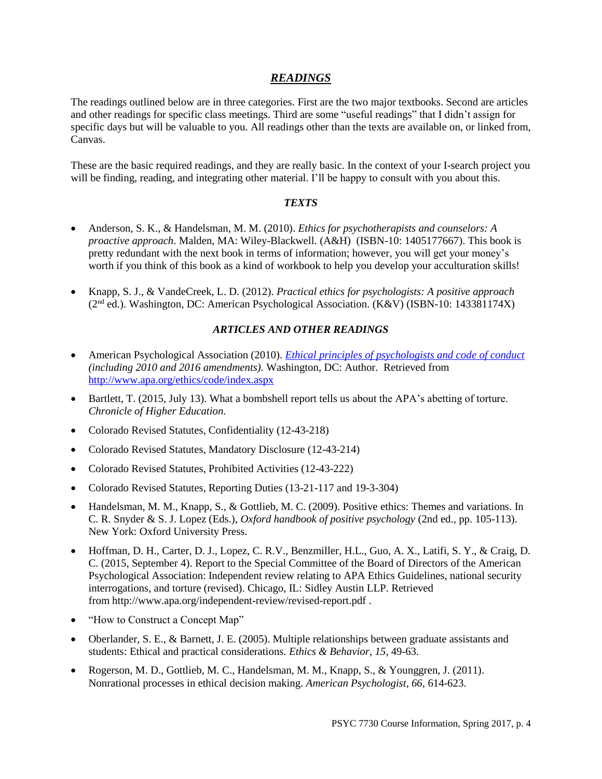### *READINGS*

The readings outlined below are in three categories. First are the two major textbooks. Second are articles and other readings for specific class meetings. Third are some "useful readings" that I didn't assign for specific days but will be valuable to you. All readings other than the texts are available on, or linked from, Canvas.

These are the basic required readings, and they are really basic. In the context of your I-search project you will be finding, reading, and integrating other material. I'll be happy to consult with you about this.

#### *TEXTS*

- Anderson, S. K., & Handelsman, M. M. (2010). *Ethics for psychotherapists and counselors: A proactive approach*. Malden, MA: Wiley-Blackwell. (A&H) (ISBN-10: 1405177667). This book is pretty redundant with the next book in terms of information; however, you will get your money's worth if you think of this book as a kind of workbook to help you develop your acculturation skills!
- Knapp, S. J., & VandeCreek, L. D. (2012). *Practical ethics for psychologists: A positive approach* (2nd ed.). Washington, DC: American Psychological Association. (K&V) (ISBN-10: 143381174X)

#### *ARTICLES AND OTHER READINGS*

- American Psychological Association (2010). *[Ethical principles of psychologists and code of conduct](http://www.apa.org/ethics/code/index.aspx) (including 2010 and 2016 amendments).* Washington, DC: Author. Retrieved from <http://www.apa.org/ethics/code/index.aspx>
- Bartlett, T. (2015, July 13). What a bombshell report tells us about the APA's abetting of torture. *Chronicle of Higher Education.*
- Colorado Revised Statutes, Confidentiality (12-43-218)
- Colorado Revised Statutes, Mandatory Disclosure (12-43-214)
- Colorado Revised Statutes, Prohibited Activities (12-43-222)
- Colorado Revised Statutes, Reporting Duties (13-21-117 and 19-3-304)
- Handelsman, M. M., Knapp, S., & Gottlieb, M. C. (2009). Positive ethics: Themes and variations. In C. R. Snyder & S. J. Lopez (Eds.), *Oxford handbook of positive psychology* (2nd ed., pp. 105-113). New York: Oxford University Press.
- Hoffman, D. H., Carter, D. J., Lopez, C. R.V., Benzmiller, H.L., Guo, A. X., Latifi, S. Y., & Craig, D. C. (2015, September 4). Report to the Special Committee of the Board of Directors of the American Psychological Association: Independent review relating to APA Ethics Guidelines, national security interrogations, and torture (revised). Chicago, IL: Sidley Austin LLP. Retrieved from <http://www.apa.org/independent-review/revised-report.pdf> .
- "How to Construct a Concept Map"
- Oberlander, S. E., & Barnett, J. E. (2005). Multiple relationships between graduate assistants and students: Ethical and practical considerations. *Ethics & Behavior, 15*, 49-63.
- Rogerson, M. D., Gottlieb, M. C., Handelsman, M. M., Knapp, S., & Younggren, J. (2011). Nonrational processes in ethical decision making. *American Psychologist, 66,* 614-623.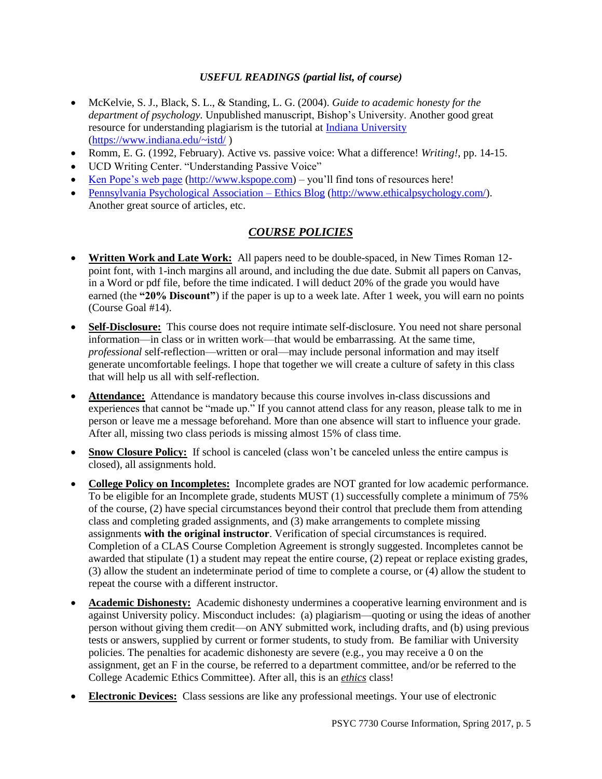#### *USEFUL READINGS (partial list, of course)*

- McKelvie, S. J., Black, S. L., & Standing, L. G. (2004). *Guide to academic honesty for the department of psychology.* Unpublished manuscript, Bishop's University. Another good great resource for understanding plagiarism is the tutorial at [Indiana University](https://www.indiana.edu/~istd/) [\(https://www.indiana.edu/~istd/](https://www.indiana.edu/~istd/) )
- Romm, E. G. (1992, February). Active vs. passive voice: What a difference! *Writing!*, pp. 14-15.
- UCD Writing Center. "Understanding Passive Voice"
- [Ken Pope's web page](http://www.kspope.com/) [\(http://www.kspope.com\)](http://www.kspope.com/) you'll find tons of resources here!
- [Pennsylvania Psychological Association –](http://www.ethicalpsychology.com/) Ethics Blog [\(http://www.ethicalpsychology.com/\)](http://www.ethicalpsychology.com/). Another great source of articles, etc.

## *COURSE POLICIES*

- **Written Work and Late Work:** All papers need to be double-spaced, in New Times Roman 12 point font, with 1-inch margins all around, and including the due date. Submit all papers on Canvas, in a Word or pdf file, before the time indicated. I will deduct 20% of the grade you would have earned (the **"20% Discount"**) if the paper is up to a week late. After 1 week, you will earn no points (Course Goal #14).
- **Self-Disclosure:** This course does not require intimate self-disclosure. You need not share personal information—in class or in written work—that would be embarrassing. At the same time, *professional* self-reflection—written or oral—may include personal information and may itself generate uncomfortable feelings. I hope that together we will create a culture of safety in this class that will help us all with self-reflection.
- **Attendance:** Attendance is mandatory because this course involves in-class discussions and experiences that cannot be "made up." If you cannot attend class for any reason, please talk to me in person or leave me a message beforehand. More than one absence will start to influence your grade. After all, missing two class periods is missing almost 15% of class time.
- Snow Closure Policy: If school is canceled (class won't be canceled unless the entire campus is closed), all assignments hold.
- **College Policy on Incompletes:** Incomplete grades are NOT granted for low academic performance. To be eligible for an Incomplete grade, students MUST (1) successfully complete a minimum of 75% of the course, (2) have special circumstances beyond their control that preclude them from attending class and completing graded assignments, and (3) make arrangements to complete missing assignments **with the original instructor**. Verification of special circumstances is required. Completion of a CLAS Course Completion Agreement is strongly suggested. Incompletes cannot be awarded that stipulate (1) a student may repeat the entire course, (2) repeat or replace existing grades, (3) allow the student an indeterminate period of time to complete a course, or (4) allow the student to repeat the course with a different instructor.
- **Academic Dishonesty:** Academic dishonesty undermines a cooperative learning environment and is against University policy. Misconduct includes: (a) plagiarism—quoting or using the ideas of another person without giving them credit—on ANY submitted work, including drafts, and (b) using previous tests or answers, supplied by current or former students, to study from. Be familiar with University policies. The penalties for academic dishonesty are severe (e.g., you may receive a 0 on the assignment, get an F in the course, be referred to a department committee, and/or be referred to the College Academic Ethics Committee). After all, this is an *ethics* class!
- **Electronic Devices:** Class sessions are like any professional meetings. Your use of electronic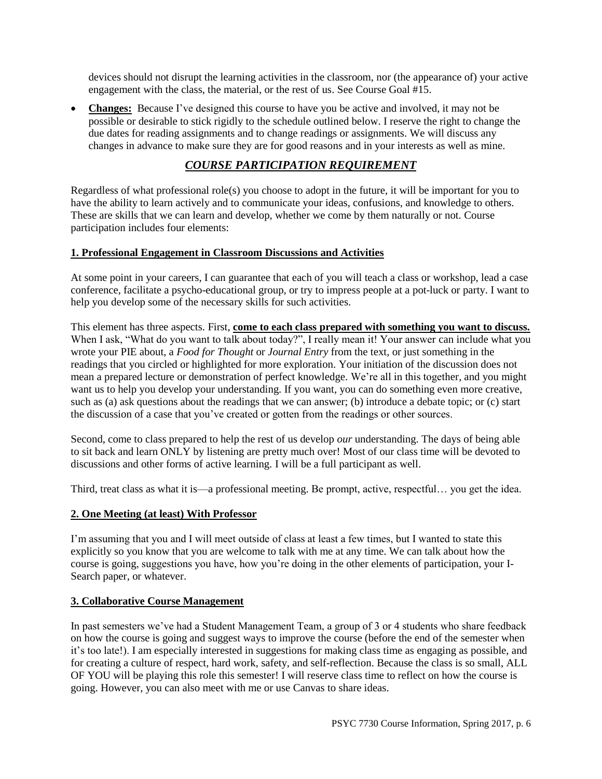devices should not disrupt the learning activities in the classroom, nor (the appearance of) your active engagement with the class, the material, or the rest of us. See Course Goal #15.

 **Changes:** Because I've designed this course to have you be active and involved, it may not be possible or desirable to stick rigidly to the schedule outlined below. I reserve the right to change the due dates for reading assignments and to change readings or assignments. We will discuss any changes in advance to make sure they are for good reasons and in your interests as well as mine.

# *COURSE PARTICIPATION REQUIREMENT*

Regardless of what professional role(s) you choose to adopt in the future, it will be important for you to have the ability to learn actively and to communicate your ideas, confusions, and knowledge to others. These are skills that we can learn and develop, whether we come by them naturally or not. Course participation includes four elements:

### **1. Professional Engagement in Classroom Discussions and Activities**

At some point in your careers, I can guarantee that each of you will teach a class or workshop, lead a case conference, facilitate a psycho-educational group, or try to impress people at a pot-luck or party. I want to help you develop some of the necessary skills for such activities.

This element has three aspects. First, **come to each class prepared with something you want to discuss.** When I ask, "What do you want to talk about today?", I really mean it! Your answer can include what you wrote your PIE about, a *Food for Thought* or *Journal Entry* from the text, or just something in the readings that you circled or highlighted for more exploration. Your initiation of the discussion does not mean a prepared lecture or demonstration of perfect knowledge. We're all in this together, and you might want us to help you develop your understanding. If you want, you can do something even more creative, such as (a) ask questions about the readings that we can answer; (b) introduce a debate topic; or (c) start the discussion of a case that you've created or gotten from the readings or other sources.

Second, come to class prepared to help the rest of us develop *our* understanding. The days of being able to sit back and learn ONLY by listening are pretty much over! Most of our class time will be devoted to discussions and other forms of active learning. I will be a full participant as well.

Third, treat class as what it is—a professional meeting. Be prompt, active, respectful… you get the idea.

### **2. One Meeting (at least) With Professor**

I'm assuming that you and I will meet outside of class at least a few times, but I wanted to state this explicitly so you know that you are welcome to talk with me at any time. We can talk about how the course is going, suggestions you have, how you're doing in the other elements of participation, your I-Search paper, or whatever.

#### **3. Collaborative Course Management**

In past semesters we've had a Student Management Team, a group of 3 or 4 students who share feedback on how the course is going and suggest ways to improve the course (before the end of the semester when it's too late!). I am especially interested in suggestions for making class time as engaging as possible, and for creating a culture of respect, hard work, safety, and self-reflection. Because the class is so small, ALL OF YOU will be playing this role this semester! I will reserve class time to reflect on how the course is going. However, you can also meet with me or use Canvas to share ideas.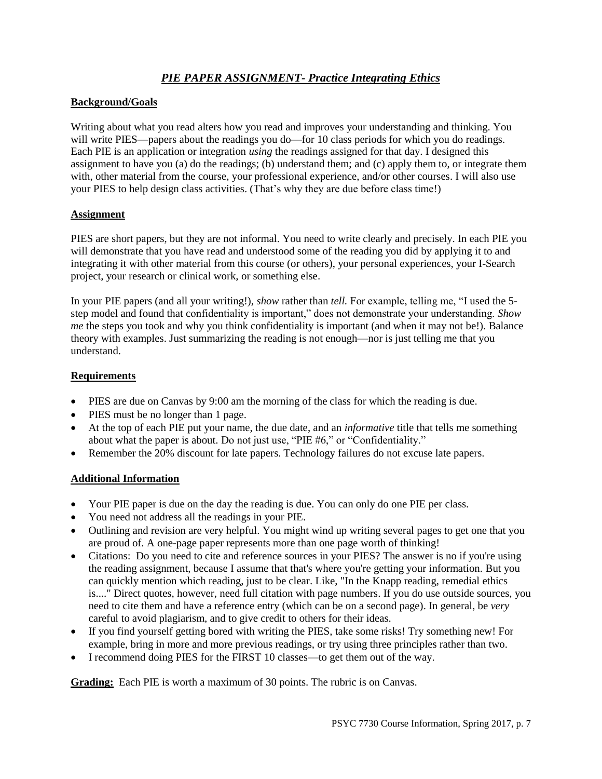## *PIE PAPER ASSIGNMENT- Practice Integrating Ethics*

### **Background/Goals**

Writing about what you read alters how you read and improves your understanding and thinking. You will write PIES—papers about the readings you do—for 10 class periods for which you do readings. Each PIE is an application or integration *using* the readings assigned for that day. I designed this assignment to have you (a) do the readings; (b) understand them; and (c) apply them to, or integrate them with, other material from the course, your professional experience, and/or other courses. I will also use your PIES to help design class activities. (That's why they are due before class time!)

### **Assignment**

PIES are short papers, but they are not informal. You need to write clearly and precisely. In each PIE you will demonstrate that you have read and understood some of the reading you did by applying it to and integrating it with other material from this course (or others), your personal experiences, your I-Search project, your research or clinical work, or something else.

In your PIE papers (and all your writing!), *show* rather than *tell.* For example, telling me, "I used the 5 step model and found that confidentiality is important," does not demonstrate your understanding. *Show me* the steps you took and why you think confidentiality is important (and when it may not be!). Balance theory with examples. Just summarizing the reading is not enough—nor is just telling me that you understand.

### **Requirements**

- PIES are due on Canvas by 9:00 am the morning of the class for which the reading is due.
- PIES must be no longer than 1 page.
- At the top of each PIE put your name, the due date, and an *informative* title that tells me something about what the paper is about. Do not just use, "PIE #6," or "Confidentiality."
- Remember the 20% discount for late papers. Technology failures do not excuse late papers.

### **Additional Information**

- Your PIE paper is due on the day the reading is due. You can only do one PIE per class.
- You need not address all the readings in your PIE.
- Outlining and revision are very helpful. You might wind up writing several pages to get one that you are proud of. A one-page paper represents more than one page worth of thinking!
- Citations: Do you need to cite and reference sources in your PIES? The answer is no if you're using the reading assignment, because I assume that that's where you're getting your information. But you can quickly mention which reading, just to be clear. Like, "In the Knapp reading, remedial ethics is...." Direct quotes, however, need full citation with page numbers. If you do use outside sources, you need to cite them and have a reference entry (which can be on a second page). In general, be *very* careful to avoid plagiarism, and to give credit to others for their ideas.
- If you find yourself getting bored with writing the PIES, take some risks! Try something new! For example, bring in more and more previous readings, or try using three principles rather than two.
- I recommend doing PIES for the FIRST 10 classes—to get them out of the way.

**Grading:** Each PIE is worth a maximum of 30 points. The rubric is on Canvas.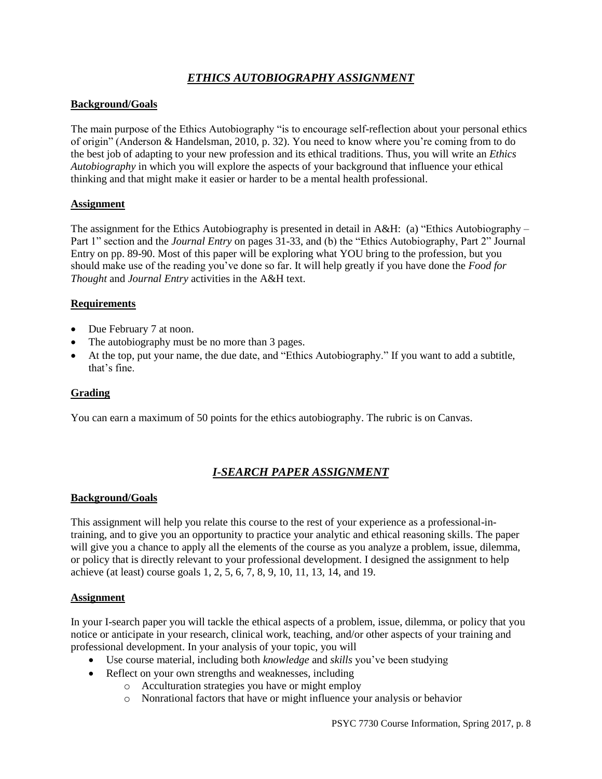## *ETHICS AUTOBIOGRAPHY ASSIGNMENT*

#### **Background/Goals**

The main purpose of the Ethics Autobiography "is to encourage self-reflection about your personal ethics of origin" (Anderson & Handelsman, 2010, p. 32). You need to know where you're coming from to do the best job of adapting to your new profession and its ethical traditions. Thus, you will write an *Ethics Autobiography* in which you will explore the aspects of your background that influence your ethical thinking and that might make it easier or harder to be a mental health professional.

#### **Assignment**

The assignment for the Ethics Autobiography is presented in detail in A&H: (a) "Ethics Autobiography – Part 1" section and the *Journal Entry* on pages 31-33, and (b) the "Ethics Autobiography, Part 2" Journal Entry on pp. 89-90. Most of this paper will be exploring what YOU bring to the profession, but you should make use of the reading you've done so far. It will help greatly if you have done the *Food for Thought* and *Journal Entry* activities in the A&H text.

#### **Requirements**

- Due February 7 at noon.
- The autobiography must be no more than 3 pages.
- At the top, put your name, the due date, and "Ethics Autobiography." If you want to add a subtitle, that's fine.

#### **Grading**

You can earn a maximum of 50 points for the ethics autobiography. The rubric is on Canvas.

## *I-SEARCH PAPER ASSIGNMENT*

#### **Background/Goals**

This assignment will help you relate this course to the rest of your experience as a professional-intraining, and to give you an opportunity to practice your analytic and ethical reasoning skills. The paper will give you a chance to apply all the elements of the course as you analyze a problem, issue, dilemma, or policy that is directly relevant to your professional development. I designed the assignment to help achieve (at least) course goals 1, 2, 5, 6, 7, 8, 9, 10, 11, 13, 14, and 19.

#### **Assignment**

In your I-search paper you will tackle the ethical aspects of a problem, issue, dilemma, or policy that you notice or anticipate in your research, clinical work, teaching, and/or other aspects of your training and professional development. In your analysis of your topic, you will

- Use course material, including both *knowledge* and *skills* you've been studying
- Reflect on your own strengths and weaknesses, including
	- o Acculturation strategies you have or might employ
	- o Nonrational factors that have or might influence your analysis or behavior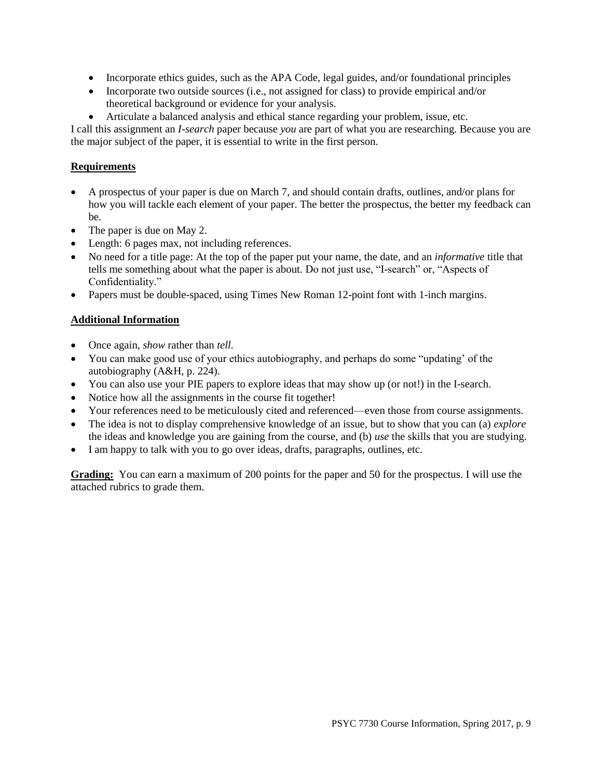- Incorporate ethics guides, such as the APA Code, legal guides, and/or foundational principles
- Incorporate two outside sources (i.e., not assigned for class) to provide empirical and/or theoretical background or evidence for your analysis.
- Articulate a balanced analysis and ethical stance regarding your problem, issue, etc.

I call this assignment an *I-search* paper because *you* are part of what you are researching. Because you are the major subject of the paper, it is essential to write in the first person.

#### **Requirements**

- A prospectus of your paper is due on March 7, and should contain drafts, outlines, and/or plans for how you will tackle each element of your paper. The better the prospectus, the better my feedback can be.
- The paper is due on May 2.
- Length: 6 pages max, not including references.
- No need for a title page: At the top of the paper put your name, the date, and an *informative* title that tells me something about what the paper is about. Do not just use, "I-search" or, "Aspects of Confidentiality."
- Papers must be double-spaced, using Times New Roman 12-point font with 1-inch margins.

#### **Additional Information**

- Once again, *show* rather than *tell.*
- You can make good use of your ethics autobiography, and perhaps do some "updating' of the autobiography (A&H, p. 224).
- You can also use your PIE papers to explore ideas that may show up (or not!) in the I-search.
- Notice how all the assignments in the course fit together!
- Your references need to be meticulously cited and referenced—even those from course assignments.
- The idea is not to display comprehensive knowledge of an issue, but to show that you can (a) *explore* the ideas and knowledge you are gaining from the course, and (b) *use* the skills that you are studying.
- I am happy to talk with you to go over ideas, drafts, paragraphs, outlines, etc.

**Grading:** You can earn a maximum of 200 points for the paper and 50 for the prospectus. I will use the attached rubrics to grade them.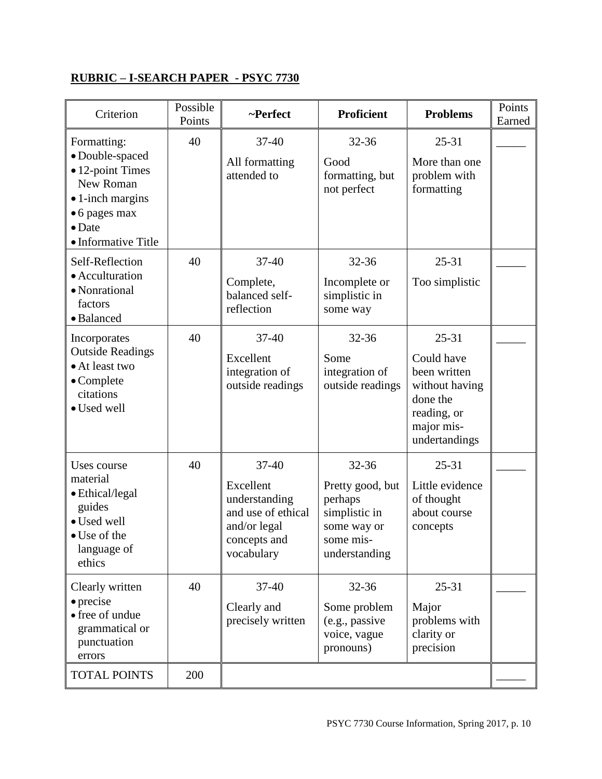# **RUBRIC – I-SEARCH PAPER - PSYC 7730**

| Criterion                                                                                                                                             | Possible<br>Points | ~Perfect                                                                                                    | <b>Proficient</b>                                                                                      | <b>Problems</b>                                                                                                     | Points<br>Earned |
|-------------------------------------------------------------------------------------------------------------------------------------------------------|--------------------|-------------------------------------------------------------------------------------------------------------|--------------------------------------------------------------------------------------------------------|---------------------------------------------------------------------------------------------------------------------|------------------|
| Formatting:<br>· Double-spaced<br>• 12-point Times<br>New Roman<br>$\bullet$ 1-inch margins<br>• 6 pages max<br>$\bullet$ Date<br>• Informative Title | 40                 | $37 - 40$<br>All formatting<br>attended to                                                                  | $32 - 36$<br>Good<br>formatting, but<br>not perfect                                                    | $25 - 31$<br>More than one<br>problem with<br>formatting                                                            |                  |
| Self-Reflection<br>· Acculturation<br>• Nonrational<br>factors<br>· Balanced                                                                          | 40                 | 37-40<br>Complete,<br>balanced self-<br>reflection                                                          | $32 - 36$<br>Incomplete or<br>simplistic in<br>some way                                                | $25 - 31$<br>Too simplistic                                                                                         |                  |
| Incorporates<br><b>Outside Readings</b><br>• At least two<br>$\bullet$ Complete<br>citations<br>· Used well                                           | 40                 | 37-40<br>Excellent<br>integration of<br>outside readings                                                    | $32 - 36$<br>Some<br>integration of<br>outside readings                                                | $25 - 31$<br>Could have<br>been written<br>without having<br>done the<br>reading, or<br>major mis-<br>undertandings |                  |
| Uses course<br>material<br>· Ethical/legal<br>guides<br>· Used well<br>$\bullet$ Use of the<br>language of<br>ethics                                  | 40                 | $37 - 40$<br>Excellent<br>understanding<br>and use of ethical<br>and/or legal<br>concepts and<br>vocabulary | $32 - 36$<br>Pretty good, but<br>perhaps<br>simplistic in<br>some way or<br>some mis-<br>understanding | $25 - 31$<br>Little evidence<br>of thought<br>about course<br>concepts                                              |                  |
| Clearly written<br>$\bullet$ precise<br>• free of undue<br>grammatical or<br>punctuation<br>errors                                                    | 40                 | $37 - 40$<br>Clearly and<br>precisely written                                                               | 32-36<br>Some problem<br>(e.g., passive<br>voice, vague<br>pronouns)                                   | $25 - 31$<br>Major<br>problems with<br>clarity or<br>precision                                                      |                  |
| <b>TOTAL POINTS</b>                                                                                                                                   | 200                |                                                                                                             |                                                                                                        |                                                                                                                     |                  |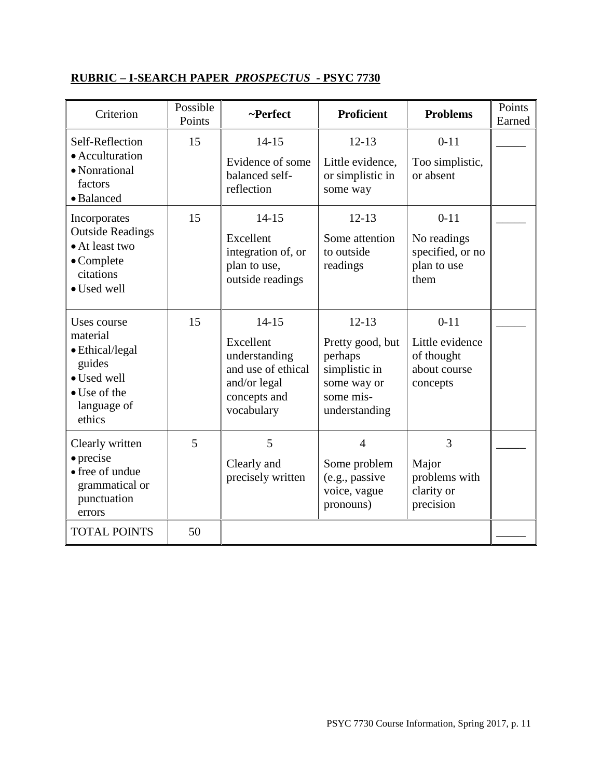# **RUBRIC – I-SEARCH PAPER** *PROSPECTUS* **- PSYC 7730**

| Criterion                                                                                                            | Possible<br>Points | ~Perfect                                                                                                    | <b>Proficient</b>                                                                                      | <b>Problems</b>                                                       | Points<br>Earned |
|----------------------------------------------------------------------------------------------------------------------|--------------------|-------------------------------------------------------------------------------------------------------------|--------------------------------------------------------------------------------------------------------|-----------------------------------------------------------------------|------------------|
| Self-Reflection<br>• Acculturation<br>· Nonrational<br>factors<br>• Balanced                                         | 15                 | $14 - 15$<br>Evidence of some<br>balanced self-<br>reflection                                               | $12 - 13$<br>Little evidence,<br>or simplistic in<br>some way                                          | $0 - 11$<br>Too simplistic,<br>or absent                              |                  |
| Incorporates<br><b>Outside Readings</b><br>• At least two<br>$\bullet$ Complete<br>citations<br>· Used well          | 15                 | $14 - 15$<br>Excellent<br>integration of, or<br>plan to use,<br>outside readings                            | $12 - 13$<br>Some attention<br>to outside<br>readings                                                  | $0 - 11$<br>No readings<br>specified, or no<br>plan to use<br>them    |                  |
| Uses course<br>material<br>• Ethical/legal<br>guides<br>· Used well<br>$\bullet$ Use of the<br>language of<br>ethics | 15                 | $14 - 15$<br>Excellent<br>understanding<br>and use of ethical<br>and/or legal<br>concepts and<br>vocabulary | $12 - 13$<br>Pretty good, but<br>perhaps<br>simplistic in<br>some way or<br>some mis-<br>understanding | $0 - 11$<br>Little evidence<br>of thought<br>about course<br>concepts |                  |
| Clearly written<br>$\bullet$ precise<br>• free of undue<br>grammatical or<br>punctuation<br>errors                   | 5                  | 5<br>Clearly and<br>precisely written                                                                       | $\overline{4}$<br>Some problem<br>(e.g., passive<br>voice, vague<br>pronouns)                          | 3<br>Major<br>problems with<br>clarity or<br>precision                |                  |
| <b>TOTAL POINTS</b>                                                                                                  | 50                 |                                                                                                             |                                                                                                        |                                                                       |                  |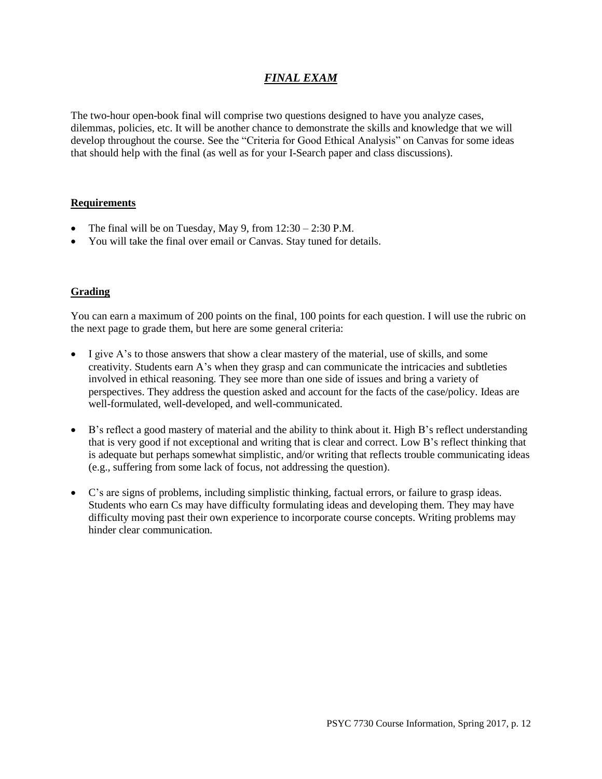## *FINAL EXAM*

The two-hour open-book final will comprise two questions designed to have you analyze cases, dilemmas, policies, etc. It will be another chance to demonstrate the skills and knowledge that we will develop throughout the course. See the "Criteria for Good Ethical Analysis" on Canvas for some ideas that should help with the final (as well as for your I-Search paper and class discussions).

#### **Requirements**

- The final will be on Tuesday, May 9, from  $12:30 2:30$  P.M.
- You will take the final over email or Canvas. Stay tuned for details.

### **Grading**

You can earn a maximum of 200 points on the final, 100 points for each question. I will use the rubric on the next page to grade them, but here are some general criteria:

- I give A's to those answers that show a clear mastery of the material, use of skills, and some creativity. Students earn A's when they grasp and can communicate the intricacies and subtleties involved in ethical reasoning. They see more than one side of issues and bring a variety of perspectives. They address the question asked and account for the facts of the case/policy. Ideas are well-formulated, well-developed, and well-communicated.
- B's reflect a good mastery of material and the ability to think about it. High B's reflect understanding that is very good if not exceptional and writing that is clear and correct. Low B's reflect thinking that is adequate but perhaps somewhat simplistic, and/or writing that reflects trouble communicating ideas (e.g., suffering from some lack of focus, not addressing the question).
- C's are signs of problems, including simplistic thinking, factual errors, or failure to grasp ideas. Students who earn Cs may have difficulty formulating ideas and developing them. They may have difficulty moving past their own experience to incorporate course concepts. Writing problems may hinder clear communication.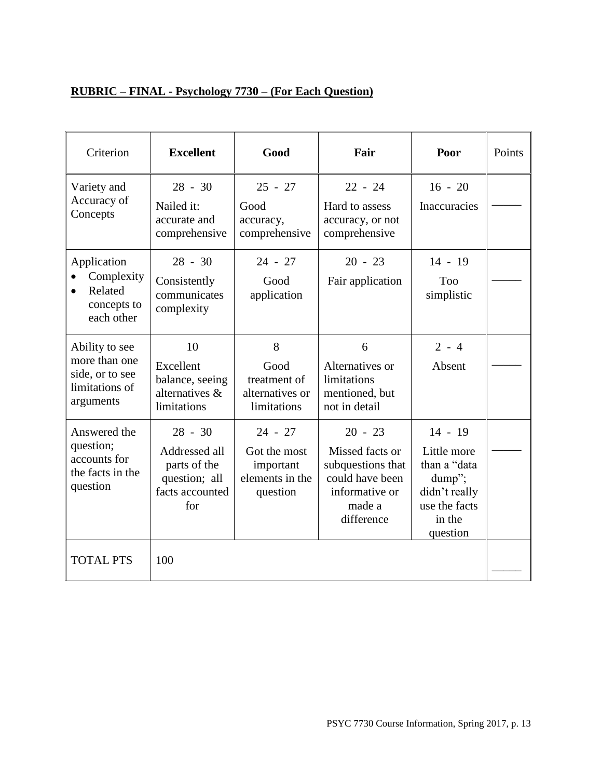# **RUBRIC – FINAL - Psychology 7730 – (For Each Question)**

| Criterion                                                                         | <b>Excellent</b>                                                                      | Good                                                                  | Fair                                                                                                           | Poor                                                                                                       | Points |
|-----------------------------------------------------------------------------------|---------------------------------------------------------------------------------------|-----------------------------------------------------------------------|----------------------------------------------------------------------------------------------------------------|------------------------------------------------------------------------------------------------------------|--------|
| Variety and<br>Accuracy of<br>Concepts                                            | $28 - 30$<br>Nailed it:<br>accurate and<br>comprehensive                              | $25 - 27$<br>Good<br>accuracy,<br>comprehensive                       | $22 - 24$<br>Hard to assess<br>accuracy, or not<br>comprehensive                                               | $16 - 20$<br>Inaccuracies                                                                                  |        |
| Application<br>Complexity<br>Related<br>concepts to<br>each other                 | $28 - 30$<br>Consistently<br>communicates<br>complexity                               | $24 - 27$<br>Good<br>application                                      | $20 - 23$<br>Fair application                                                                                  | $14 - 19$<br><b>Too</b><br>simplistic                                                                      |        |
| Ability to see<br>more than one<br>side, or to see<br>limitations of<br>arguments | 10<br>Excellent<br>balance, seeing<br>alternatives &<br>limitations                   | 8<br>Good<br>treatment of<br>alternatives or<br>limitations           | 6<br>Alternatives or<br>limitations<br>mentioned, but<br>not in detail                                         | $2 - 4$<br>Absent                                                                                          |        |
| Answered the<br>question;<br>accounts for<br>the facts in the<br>question         | $28 - 30$<br>Addressed all<br>parts of the<br>question; all<br>facts accounted<br>for | $24 - 27$<br>Got the most<br>important<br>elements in the<br>question | $20 - 23$<br>Missed facts or<br>subquestions that<br>could have been<br>informative or<br>made a<br>difference | $14 - 19$<br>Little more<br>than a "data<br>dump";<br>didn't really<br>use the facts<br>in the<br>question |        |
| <b>TOTAL PTS</b>                                                                  | 100                                                                                   |                                                                       |                                                                                                                |                                                                                                            |        |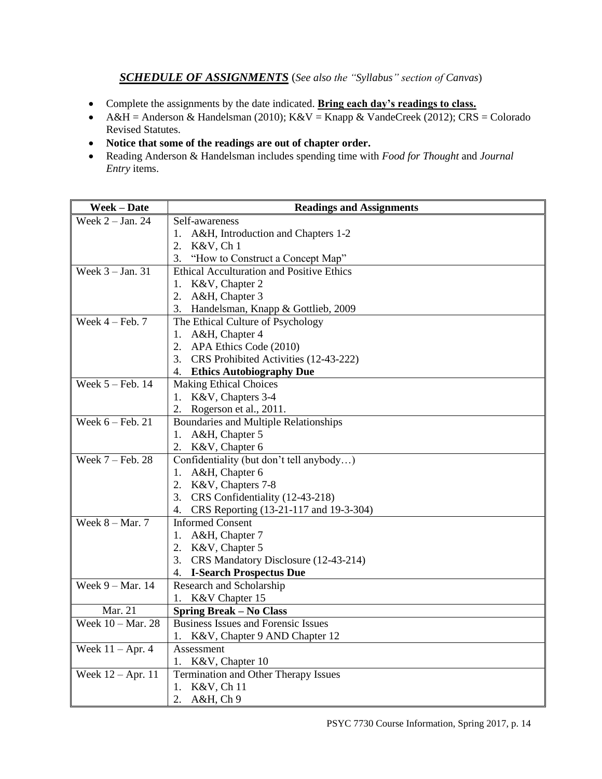## *SCHEDULE OF ASSIGNMENTS* (*See also the "Syllabus" section of Canvas*)

- Complete the assignments by the date indicated. **Bring each day's readings to class.**
- A&H = Anderson & Handelsman (2010); K&V = Knapp & VandeCreek (2012); CRS = Colorado Revised Statutes.
- **Notice that some of the readings are out of chapter order.**
- Reading Anderson & Handelsman includes spending time with *Food for Thought* and *Journal Entry* items.

| <b>Week-Date</b>                     | <b>Readings and Assignments</b>                  |
|--------------------------------------|--------------------------------------------------|
| Week $2 - Jan. 24$                   | Self-awareness                                   |
|                                      | 1. A&H, Introduction and Chapters 1-2            |
|                                      | 2. K&V, Ch 1                                     |
|                                      | 3.<br>"How to Construct a Concept Map"           |
| Week $3 - Jan. 31$                   | <b>Ethical Acculturation and Positive Ethics</b> |
|                                      | 1. K&V, Chapter 2                                |
|                                      | A&H, Chapter 3                                   |
|                                      | 3. Handelsman, Knapp & Gottlieb, 2009            |
| Week $4 - \text{Feb. } 7$            | The Ethical Culture of Psychology                |
|                                      | 1. A&H, Chapter 4                                |
|                                      | 2. APA Ethics Code (2010)                        |
|                                      | 3. CRS Prohibited Activities (12-43-222)         |
|                                      | 4. Ethics Autobiography Due                      |
| Week 5 - Feb. 14                     | <b>Making Ethical Choices</b>                    |
|                                      | 1. K&V, Chapters 3-4                             |
|                                      | Rogerson et al., 2011.<br>2.                     |
| Week $6 - \overline{\text{Feb. 21}}$ | <b>Boundaries and Multiple Relationships</b>     |
|                                      | 1. A&H, Chapter 5                                |
|                                      | 2. K&V, Chapter 6                                |
| Week $7 - \text{Feb. } 28$           | Confidentiality (but don't tell anybody)         |
|                                      | A&H, Chapter 6<br>1.                             |
|                                      | 2. K&V, Chapters 7-8                             |
|                                      | 3. CRS Confidentiality (12-43-218)               |
|                                      | 4. CRS Reporting (13-21-117 and 19-3-304)        |
| Week $8 - Mar. 7$                    | <b>Informed Consent</b>                          |
|                                      | 1. A&H, Chapter 7                                |
|                                      | 2. K&V, Chapter 5                                |
|                                      | 3. CRS Mandatory Disclosure (12-43-214)          |
|                                      | 4. I-Search Prospectus Due                       |
| Week $9 - \text{Mar.}$ 14            | Research and Scholarship                         |
|                                      | 1. K&V Chapter 15                                |
| Mar. 21                              | <b>Spring Break - No Class</b>                   |
| Week $10 - \text{Mar. } 28$          | <b>Business Issues and Forensic Issues</b>       |
|                                      | 1. K&V, Chapter 9 AND Chapter 12                 |
| Week $11 -$ Apr. 4                   | Assessment                                       |
|                                      | 1. K&V, Chapter 10                               |
| Week $12 - Apr. 11$                  | Termination and Other Therapy Issues             |
|                                      | K&V, Ch 11<br>1.                                 |
|                                      | 2.<br>A&H, Ch9                                   |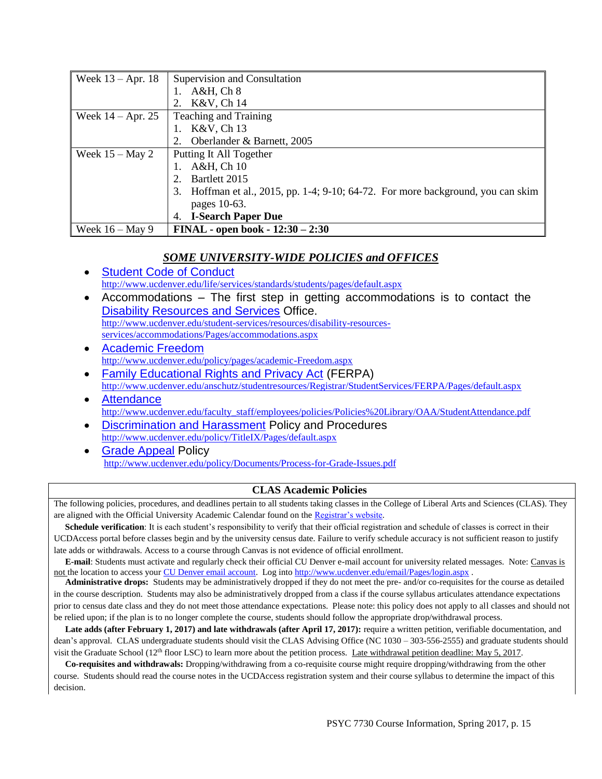| Week $13 -$ Apr. 18 | Supervision and Consultation                                                        |
|---------------------|-------------------------------------------------------------------------------------|
|                     | A&H, Ch <sub>8</sub>                                                                |
|                     | K&V, Ch 14                                                                          |
| Week $14 -$ Apr. 25 | <b>Teaching and Training</b>                                                        |
|                     | K&V, Ch 13                                                                          |
|                     | Oberlander & Barnett, 2005                                                          |
| Week $15 -$ May 2   | Putting It All Together                                                             |
|                     | A&H, Ch 10                                                                          |
|                     | Bartlett 2015                                                                       |
|                     | Hoffman et al., 2015, pp. 1-4; 9-10; 64-72. For more background, you can skim<br>3. |
|                     | pages 10-63.                                                                        |
|                     | <b>I-Search Paper Due</b><br>4.                                                     |
| Week $16 - May 9$   | <b>FINAL</b> - open book - $12:30 - 2:30$                                           |

#### *SOME UNIVERSITY-WIDE POLICIES and OFFICES*

- [Student Code of Conduct](http://www.ucdenver.edu/life/services/standards/students/pages/default.aspx) <http://www.ucdenver.edu/life/services/standards/students/pages/default.aspx>
- Accommodations The first step in getting accommodations is to contact the [Disability Resources and Services](http://www.ucdenver.edu/student-services/resources/disability-resources-services/accommodations/Pages/accommodations.aspx) Office. [http://www.ucdenver.edu/student-services/resources/disability-resources](http://www.ucdenver.edu/student-services/resources/disability-resources-services/accommodations/Pages/accommodations.aspx)[services/accommodations/Pages/accommodations.aspx](http://www.ucdenver.edu/student-services/resources/disability-resources-services/accommodations/Pages/accommodations.aspx)
- [Academic Freedom](http://www.ucdenver.edu/policy/pages/academic-Freedom.aspx) <http://www.ucdenver.edu/policy/pages/academic-Freedom.aspx>
- [Family Educational Rights and Privacy Act](http://www.ucdenver.edu/anschutz/studentresources/Registrar/StudentServices/FERPA/Pages/default.aspx) (FERPA) <http://www.ucdenver.edu/anschutz/studentresources/Registrar/StudentServices/FERPA/Pages/default.aspx>
- **[Attendance](http://www.ucdenver.edu/faculty_staff/employees/policies/Policies%20Library/OAA/StudentAttendance.pdf)** [http://www.ucdenver.edu/faculty\\_staff/employees/policies/Policies%20Library/OAA/StudentAttendance.pdf](http://www.ucdenver.edu/faculty_staff/employees/policies/Policies%20Library/OAA/StudentAttendance.pdf)
- [Discrimination and Harassment](http://www.ucdenver.edu/policy/TitleIX/Pages/default.aspx) Policy and Procedures <http://www.ucdenver.edu/policy/TitleIX/Pages/default.aspx>
- [Grade Appeal](http://www.ucdenver.edu/policy/Documents/Process-for-Grade-Issues.pdf) Policy <http://www.ucdenver.edu/policy/Documents/Process-for-Grade-Issues.pdf>

### **CLAS Academic Policies**

The following policies, procedures, and deadlines pertain to all students taking classes in the College of Liberal Arts and Sciences (CLAS). They are aligned with the Official University Academic Calendar found on the [Registrar's website.](http://www.ucdenver.edu/student-services/resources/Registrar-dev/CourseListings/Pages/AcademicCalendar.aspx)

**Schedule verification**: It is each student's responsibility to verify that their official registration and schedule of classes is correct in their UCDAccess portal before classes begin and by the university census date. Failure to verify schedule accuracy is not sufficient reason to justify late adds or withdrawals. Access to a course through Canvas is not evidence of official enrollment.

 **E-mail**: Students must activate and regularly check their official CU Denver e-mail account for university related messages. Note: Canvas is not the location to access your [CU Denver email account.](http://www.ucdenver.edu/email/Pages/login.aspx) Log into<http://www.ucdenver.edu/email/Pages/login.aspx> .

 **Administrative drops:** Students may be administratively dropped if they do not meet the pre- and/or co-requisites for the course as detailed in the course description. Students may also be administratively dropped from a class if the course syllabus articulates attendance expectations prior to census date class and they do not meet those attendance expectations. Please note: this policy does not apply to all classes and should not be relied upon; if the plan is to no longer complete the course, students should follow the appropriate drop/withdrawal process.

Late adds (after February 1, 2017) and late withdrawals (after April 17, 2017): require a written petition, verifiable documentation, and dean's approval. CLAS undergraduate students should visit the CLAS Advising Office (NC 1030 – 303-556-2555) and graduate students should visit the Graduate School (12<sup>th</sup> floor LSC) to learn more about the petition process. Late withdrawal petition deadline: May 5, 2017.

 **Co-requisites and withdrawals:** Dropping/withdrawing from a co-requisite course might require dropping/withdrawing from the other course. Students should read the course notes in the UCDAccess registration system and their course syllabus to determine the impact of this decision.